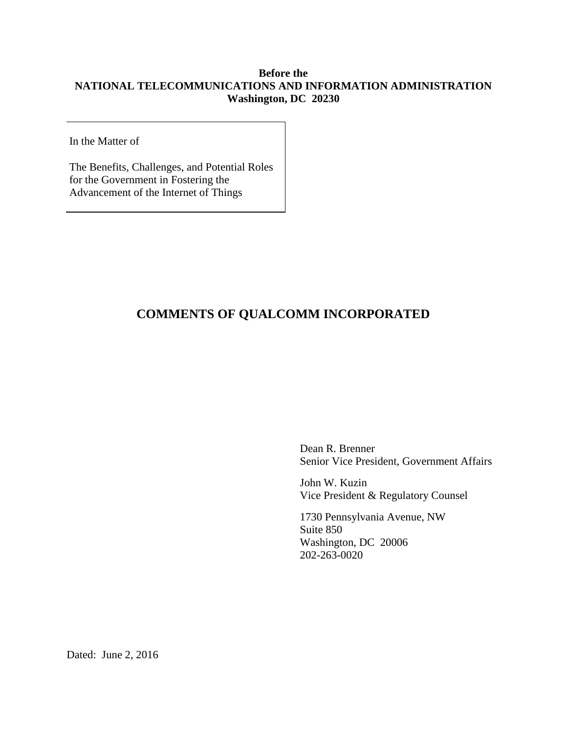# **Before the NATIONAL TELECOMMUNICATIONS AND INFORMATION ADMINISTRATION Washington, DC 20230**

In the Matter of

The Benefits, Challenges, and Potential Roles for the Government in Fostering the Advancement of the Internet of Things

# **COMMENTS OF QUALCOMM INCORPORATED**

Dean R. Brenner Senior Vice President, Government Affairs

John W. Kuzin Vice President & Regulatory Counsel

1730 Pennsylvania Avenue, NW Suite 850 Washington, DC 20006 202-263-0020

Dated: June 2, 2016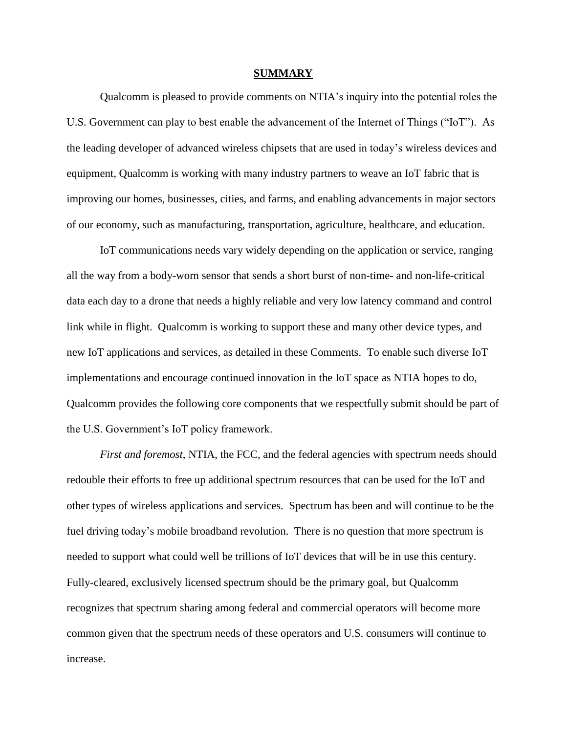#### **SUMMARY**

<span id="page-1-0"></span>Qualcomm is pleased to provide comments on NTIA's inquiry into the potential roles the U.S. Government can play to best enable the advancement of the Internet of Things ("IoT"). As the leading developer of advanced wireless chipsets that are used in today's wireless devices and equipment, Qualcomm is working with many industry partners to weave an IoT fabric that is improving our homes, businesses, cities, and farms, and enabling advancements in major sectors of our economy, such as manufacturing, transportation, agriculture, healthcare, and education.

IoT communications needs vary widely depending on the application or service, ranging all the way from a body-worn sensor that sends a short burst of non-time- and non-life-critical data each day to a drone that needs a highly reliable and very low latency command and control link while in flight. Qualcomm is working to support these and many other device types, and new IoT applications and services, as detailed in these Comments. To enable such diverse IoT implementations and encourage continued innovation in the IoT space as NTIA hopes to do, Qualcomm provides the following core components that we respectfully submit should be part of the U.S. Government's IoT policy framework.

*First and foremost*, NTIA, the FCC, and the federal agencies with spectrum needs should redouble their efforts to free up additional spectrum resources that can be used for the IoT and other types of wireless applications and services. Spectrum has been and will continue to be the fuel driving today's mobile broadband revolution. There is no question that more spectrum is needed to support what could well be trillions of IoT devices that will be in use this century. Fully-cleared, exclusively licensed spectrum should be the primary goal, but Qualcomm recognizes that spectrum sharing among federal and commercial operators will become more common given that the spectrum needs of these operators and U.S. consumers will continue to increase.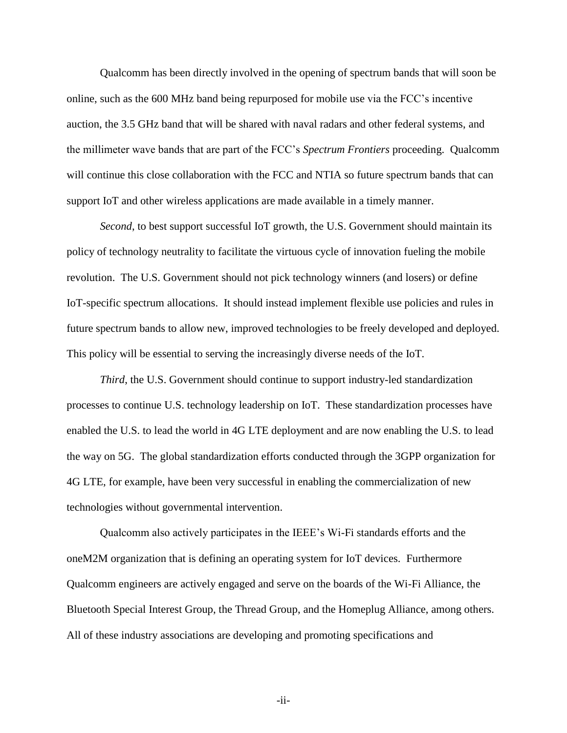Qualcomm has been directly involved in the opening of spectrum bands that will soon be online, such as the 600 MHz band being repurposed for mobile use via the FCC's incentive auction, the 3.5 GHz band that will be shared with naval radars and other federal systems, and the millimeter wave bands that are part of the FCC's *Spectrum Frontiers* proceeding. Qualcomm will continue this close collaboration with the FCC and NTIA so future spectrum bands that can support IoT and other wireless applications are made available in a timely manner.

*Second*, to best support successful IoT growth, the U.S. Government should maintain its policy of technology neutrality to facilitate the virtuous cycle of innovation fueling the mobile revolution. The U.S. Government should not pick technology winners (and losers) or define IoT-specific spectrum allocations. It should instead implement flexible use policies and rules in future spectrum bands to allow new, improved technologies to be freely developed and deployed. This policy will be essential to serving the increasingly diverse needs of the IoT.

*Third*, the U.S. Government should continue to support industry-led standardization processes to continue U.S. technology leadership on IoT. These standardization processes have enabled the U.S. to lead the world in 4G LTE deployment and are now enabling the U.S. to lead the way on 5G. The global standardization efforts conducted through the 3GPP organization for 4G LTE, for example, have been very successful in enabling the commercialization of new technologies without governmental intervention.

Qualcomm also actively participates in the IEEE's Wi-Fi standards efforts and the oneM2M organization that is defining an operating system for IoT devices. Furthermore Qualcomm engineers are actively engaged and serve on the boards of the Wi-Fi Alliance, the Bluetooth Special Interest Group, the Thread Group, and the Homeplug Alliance, among others. All of these industry associations are developing and promoting specifications and

-ii-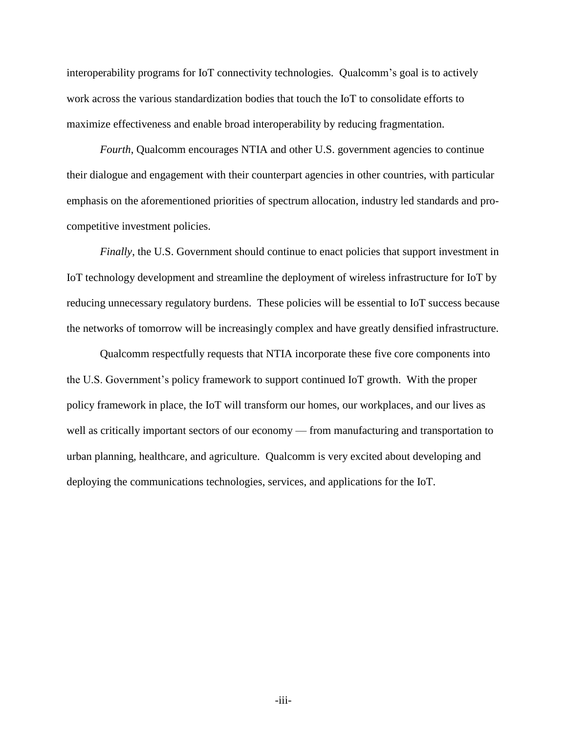interoperability programs for IoT connectivity technologies. Qualcomm's goal is to actively work across the various standardization bodies that touch the IoT to consolidate efforts to maximize effectiveness and enable broad interoperability by reducing fragmentation.

*Fourth*, Qualcomm encourages NTIA and other U.S. government agencies to continue their dialogue and engagement with their counterpart agencies in other countries, with particular emphasis on the aforementioned priorities of spectrum allocation, industry led standards and procompetitive investment policies.

*Finally*, the U.S. Government should continue to enact policies that support investment in IoT technology development and streamline the deployment of wireless infrastructure for IoT by reducing unnecessary regulatory burdens. These policies will be essential to IoT success because the networks of tomorrow will be increasingly complex and have greatly densified infrastructure.

Qualcomm respectfully requests that NTIA incorporate these five core components into the U.S. Government's policy framework to support continued IoT growth. With the proper policy framework in place, the IoT will transform our homes, our workplaces, and our lives as well as critically important sectors of our economy — from manufacturing and transportation to urban planning, healthcare, and agriculture. Qualcomm is very excited about developing and deploying the communications technologies, services, and applications for the IoT.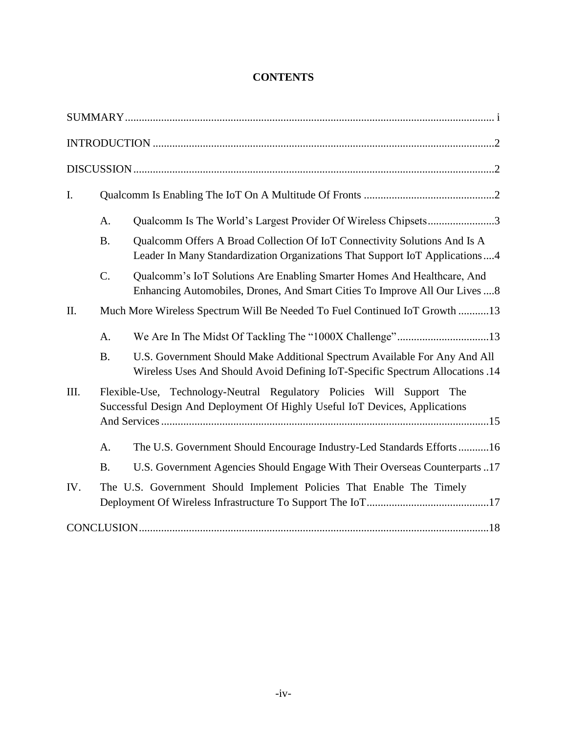# **CONTENTS**

| I.   |                                                                            |                                                                                                                                                            |
|------|----------------------------------------------------------------------------|------------------------------------------------------------------------------------------------------------------------------------------------------------|
|      | A.                                                                         | Qualcomm Is The World's Largest Provider Of Wireless Chipsets3                                                                                             |
|      | <b>B.</b>                                                                  | Qualcomm Offers A Broad Collection Of IoT Connectivity Solutions And Is A<br>Leader In Many Standardization Organizations That Support IoT Applications4   |
|      | C.                                                                         | Qualcomm's IoT Solutions Are Enabling Smarter Homes And Healthcare, And<br>Enhancing Automobiles, Drones, And Smart Cities To Improve All Our Lives  8     |
| II.  | Much More Wireless Spectrum Will Be Needed To Fuel Continued IoT Growth 13 |                                                                                                                                                            |
|      | A.                                                                         | We Are In The Midst Of Tackling The "1000X Challenge"13                                                                                                    |
|      | <b>B.</b>                                                                  | U.S. Government Should Make Additional Spectrum Available For Any And All<br>Wireless Uses And Should Avoid Defining IoT-Specific Spectrum Allocations .14 |
| III. |                                                                            | Flexible-Use, Technology-Neutral Regulatory Policies Will Support The<br>Successful Design And Deployment Of Highly Useful IoT Devices, Applications       |
|      | A.                                                                         | The U.S. Government Should Encourage Industry-Led Standards Efforts16                                                                                      |
|      | <b>B.</b>                                                                  | U.S. Government Agencies Should Engage With Their Overseas Counterparts 17                                                                                 |
| IV.  |                                                                            | The U.S. Government Should Implement Policies That Enable The Timely                                                                                       |
|      |                                                                            |                                                                                                                                                            |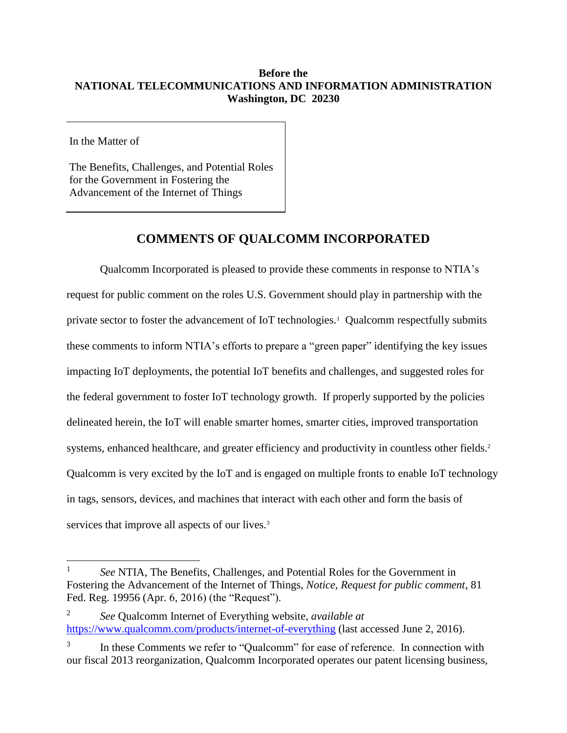# **Before the NATIONAL TELECOMMUNICATIONS AND INFORMATION ADMINISTRATION Washington, DC 20230**

In the Matter of

 $\overline{a}$ 

The Benefits, Challenges, and Potential Roles for the Government in Fostering the Advancement of the Internet of Things

# **COMMENTS OF QUALCOMM INCORPORATED**

Qualcomm Incorporated is pleased to provide these comments in response to NTIA's request for public comment on the roles U.S. Government should play in partnership with the private sector to foster the advancement of IoT technologies.<sup>1</sup> Qualcomm respectfully submits these comments to inform NTIA's efforts to prepare a "green paper" identifying the key issues impacting IoT deployments, the potential IoT benefits and challenges, and suggested roles for the federal government to foster IoT technology growth. If properly supported by the policies delineated herein, the IoT will enable smarter homes, smarter cities, improved transportation systems, enhanced healthcare, and greater efficiency and productivity in countless other fields.<sup>2</sup> Qualcomm is very excited by the IoT and is engaged on multiple fronts to enable IoT technology in tags, sensors, devices, and machines that interact with each other and form the basis of services that improve all aspects of our lives.<sup>3</sup>

2 *See* Qualcomm Internet of Everything website, *available at* <https://www.qualcomm.com/products/internet-of-everything> (last accessed June 2, 2016).

<sup>1</sup> *See* NTIA, The Benefits, Challenges, and Potential Roles for the Government in Fostering the Advancement of the Internet of Things, *Notice, Request for public comment*, 81 Fed. Reg. 19956 (Apr. 6, 2016) (the "Request").

<sup>3</sup> In these Comments we refer to "Qualcomm" for ease of reference. In connection with our fiscal 2013 reorganization, Qualcomm Incorporated operates our patent licensing business,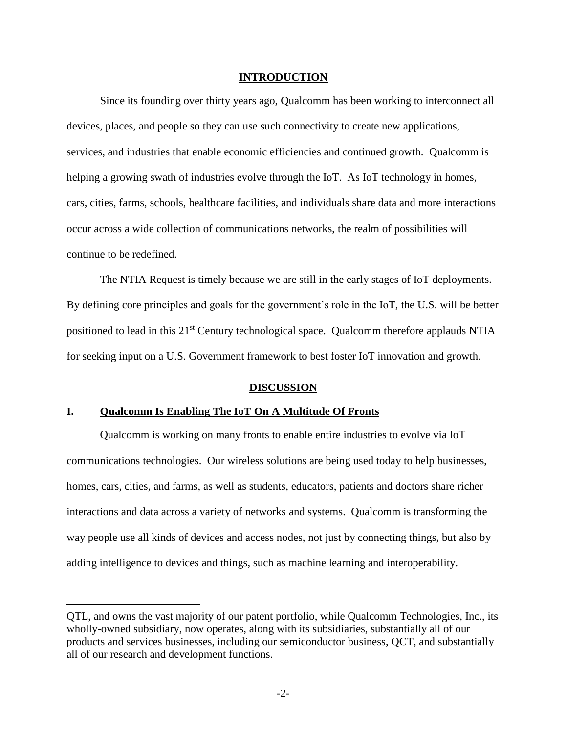### **INTRODUCTION**

<span id="page-6-0"></span>Since its founding over thirty years ago, Qualcomm has been working to interconnect all devices, places, and people so they can use such connectivity to create new applications, services, and industries that enable economic efficiencies and continued growth. Qualcomm is helping a growing swath of industries evolve through the IoT. As IoT technology in homes, cars, cities, farms, schools, healthcare facilities, and individuals share data and more interactions occur across a wide collection of communications networks, the realm of possibilities will continue to be redefined.

The NTIA Request is timely because we are still in the early stages of IoT deployments. By defining core principles and goals for the government's role in the IoT, the U.S. will be better positioned to lead in this 21<sup>st</sup> Century technological space. Qualcomm therefore applauds NTIA for seeking input on a U.S. Government framework to best foster IoT innovation and growth.

#### **DISCUSSION**

### <span id="page-6-2"></span><span id="page-6-1"></span>**I. Qualcomm Is Enabling The IoT On A Multitude Of Fronts**

 $\overline{a}$ 

Qualcomm is working on many fronts to enable entire industries to evolve via IoT communications technologies. Our wireless solutions are being used today to help businesses, homes, cars, cities, and farms, as well as students, educators, patients and doctors share richer interactions and data across a variety of networks and systems. Qualcomm is transforming the way people use all kinds of devices and access nodes, not just by connecting things, but also by adding intelligence to devices and things, such as machine learning and interoperability.

QTL, and owns the vast majority of our patent portfolio, while Qualcomm Technologies, Inc., its wholly-owned subsidiary, now operates, along with its subsidiaries, substantially all of our products and services businesses, including our semiconductor business, QCT, and substantially all of our research and development functions.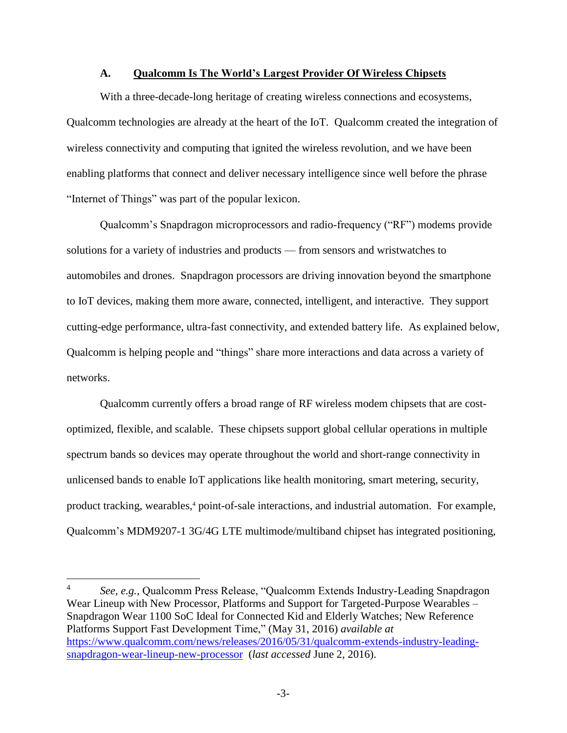#### **A. Qualcomm Is The World's Largest Provider Of Wireless Chipsets**

<span id="page-7-0"></span>With a three-decade-long heritage of creating wireless connections and ecosystems, Qualcomm technologies are already at the heart of the IoT. Qualcomm created the integration of wireless connectivity and computing that ignited the wireless revolution, and we have been enabling platforms that connect and deliver necessary intelligence since well before the phrase "Internet of Things" was part of the popular lexicon.

Qualcomm's Snapdragon microprocessors and radio-frequency ("RF") modems provide solutions for a variety of industries and products — from sensors and wristwatches to automobiles and drones. Snapdragon processors are driving innovation beyond the smartphone to IoT devices, making them more aware, connected, intelligent, and interactive. They support cutting-edge performance, ultra-fast connectivity, and extended battery life. As explained below, Qualcomm is helping people and "things" share more interactions and data across a variety of networks.

Qualcomm currently offers a broad range of RF wireless modem chipsets that are costoptimized, flexible, and scalable. These chipsets support global cellular operations in multiple spectrum bands so devices may operate throughout the world and short-range connectivity in unlicensed bands to enable IoT applications like health monitoring, smart metering, security, product tracking, wearables,<sup>4</sup> point-of-sale interactions, and industrial automation. For example, Qualcomm's MDM9207-1 3G/4G LTE multimode/multiband chipset has integrated positioning,

<sup>4</sup> *See, e.g.,* Qualcomm Press Release, "Qualcomm Extends Industry-Leading Snapdragon Wear Lineup with New Processor, Platforms and Support for Targeted-Purpose Wearables – Snapdragon Wear 1100 SoC Ideal for Connected Kid and Elderly Watches; New Reference Platforms Support Fast Development Time," (May 31, 2016) *available at*  [https://www.qualcomm.com/news/releases/2016/05/31/qualcomm-extends-industry-leading](https://www.qualcomm.com/news/releases/2016/05/31/qualcomm-extends-industry-leading-snapdragon-wear-lineup-new-processor)[snapdragon-wear-lineup-new-processor](https://www.qualcomm.com/news/releases/2016/05/31/qualcomm-extends-industry-leading-snapdragon-wear-lineup-new-processor) (*last accessed* June 2, 2016).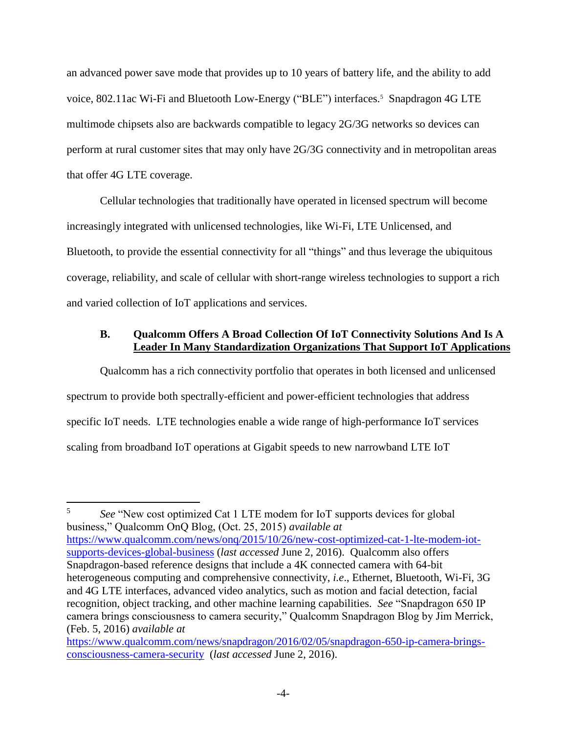an advanced power save mode that provides up to 10 years of battery life, and the ability to add voice, 802.11ac Wi-Fi and Bluetooth Low-Energy ("BLE") interfaces.<sup>5</sup> Snapdragon 4G LTE multimode chipsets also are backwards compatible to legacy 2G/3G networks so devices can perform at rural customer sites that may only have 2G/3G connectivity and in metropolitan areas that offer 4G LTE coverage.

Cellular technologies that traditionally have operated in licensed spectrum will become increasingly integrated with unlicensed technologies, like Wi-Fi, LTE Unlicensed, and Bluetooth, to provide the essential connectivity for all "things" and thus leverage the ubiquitous coverage, reliability, and scale of cellular with short-range wireless technologies to support a rich and varied collection of IoT applications and services.

# <span id="page-8-0"></span>**B. Qualcomm Offers A Broad Collection Of IoT Connectivity Solutions And Is A Leader In Many Standardization Organizations That Support IoT Applications**

Qualcomm has a rich connectivity portfolio that operates in both licensed and unlicensed spectrum to provide both spectrally-efficient and power-efficient technologies that address specific IoT needs. LTE technologies enable a wide range of high-performance IoT services scaling from broadband IoT operations at Gigabit speeds to new narrowband LTE IoT

5 *See* "New cost optimized Cat 1 LTE modem for IoT supports devices for global business," Qualcomm OnQ Blog, (Oct. 25, 2015) *available at* [https://www.qualcomm.com/news/onq/2015/10/26/new-cost-optimized-cat-1-lte-modem-iot](https://www.qualcomm.com/news/onq/2015/10/26/new-cost-optimized-cat-1-lte-modem-iot-supports-devices-global-business)[supports-devices-global-business](https://www.qualcomm.com/news/onq/2015/10/26/new-cost-optimized-cat-1-lte-modem-iot-supports-devices-global-business) (*last accessed* June 2, 2016). Qualcomm also offers Snapdragon-based reference designs that include a 4K connected camera with 64-bit heterogeneous computing and comprehensive connectivity, *i.e*., Ethernet, Bluetooth, Wi-Fi, 3G and 4G LTE interfaces, advanced video analytics, such as motion and facial detection, facial recognition, object tracking, and other machine learning capabilities. *See* "Snapdragon 650 IP camera brings consciousness to camera security," Qualcomm Snapdragon Blog by Jim Merrick, (Feb. 5, 2016) *available at*

[https://www.qualcomm.com/news/snapdragon/2016/02/05/snapdragon-650-ip-camera-brings](https://www.qualcomm.com/news/snapdragon/2016/02/05/snapdragon-650-ip-camera-brings-consciousness-camera-security)[consciousness-camera-security](https://www.qualcomm.com/news/snapdragon/2016/02/05/snapdragon-650-ip-camera-brings-consciousness-camera-security) (*last accessed* June 2, 2016).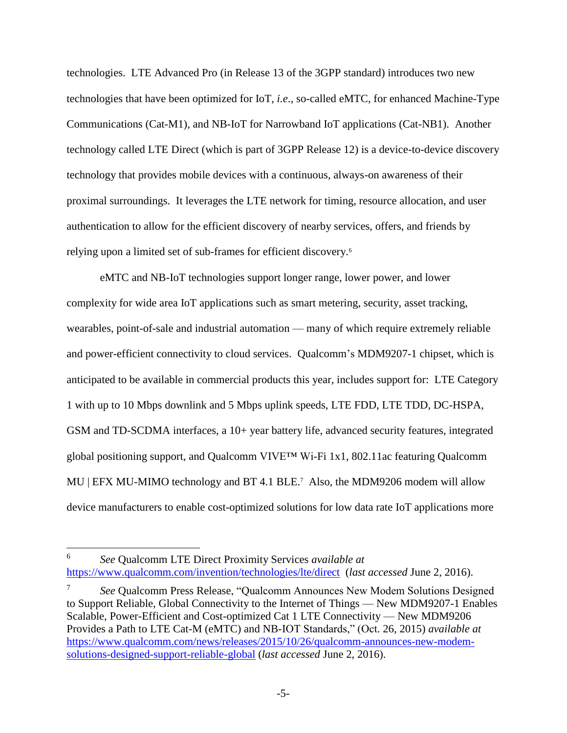technologies. LTE Advanced Pro (in Release 13 of the 3GPP standard) introduces two new technologies that have been optimized for IoT, *i.e*., so-called eMTC, for enhanced Machine-Type Communications (Cat-M1), and NB-IoT for Narrowband IoT applications (Cat-NB1). Another technology called LTE Direct (which is part of 3GPP Release 12) is a device-to-device discovery technology that provides mobile devices with a continuous, always-on awareness of their proximal surroundings. It leverages the LTE network for timing, resource allocation, and user authentication to allow for the efficient discovery of nearby services, offers, and friends by relying upon a limited set of sub-frames for efficient discovery.<sup>6</sup>

eMTC and NB-IoT technologies support longer range, lower power, and lower complexity for wide area IoT applications such as smart metering, security, asset tracking, wearables, point-of-sale and industrial automation — many of which require extremely reliable and power-efficient connectivity to cloud services. Qualcomm's MDM9207-1 chipset, which is anticipated to be available in commercial products this year, includes support for: LTE Category 1 with up to 10 Mbps downlink and 5 Mbps uplink speeds, LTE FDD, LTE TDD, DC-HSPA, GSM and TD-SCDMA interfaces, a 10+ year battery life, advanced security features, integrated global positioning support, and Qualcomm VIVE™ Wi-Fi 1x1, 802.11ac featuring Qualcomm MU | EFX MU-MIMO technology and BT 4.1 BLE.<sup>7</sup> Also, the MDM9206 modem will allow device manufacturers to enable cost-optimized solutions for low data rate IoT applications more

<sup>6</sup> *See* Qualcomm LTE Direct Proximity Services *available at* <https://www.qualcomm.com/invention/technologies/lte/direct>(*last accessed* June 2, 2016).

<sup>7</sup> *See* Qualcomm Press Release, "Qualcomm Announces New Modem Solutions Designed to Support Reliable, Global Connectivity to the Internet of Things — New MDM9207-1 Enables Scalable, Power-Efficient and Cost-optimized Cat 1 LTE Connectivity — New MDM9206 Provides a Path to LTE Cat-M (eMTC) and NB-IOT Standards," (Oct. 26, 2015) *available at* [https://www.qualcomm.com/news/releases/2015/10/26/qualcomm-announces-new-modem](https://www.qualcomm.com/news/releases/2015/10/26/qualcomm-announces-new-modem-solutions-designed-support-reliable-global)[solutions-designed-support-reliable-global](https://www.qualcomm.com/news/releases/2015/10/26/qualcomm-announces-new-modem-solutions-designed-support-reliable-global) (*last accessed* June 2, 2016).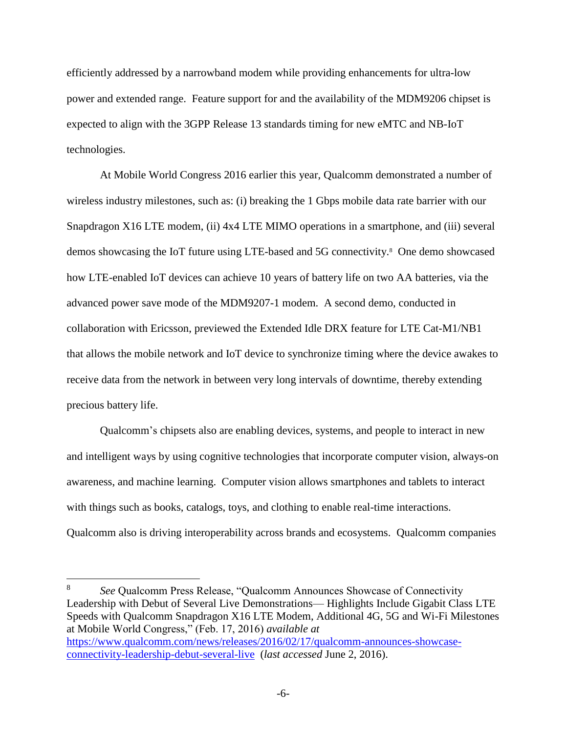efficiently addressed by a narrowband modem while providing enhancements for ultra-low power and extended range. Feature support for and the availability of the MDM9206 chipset is expected to align with the 3GPP Release 13 standards timing for new eMTC and NB-IoT technologies.

At Mobile World Congress 2016 earlier this year, Qualcomm demonstrated a number of wireless industry milestones, such as: (i) breaking the 1 Gbps mobile data rate barrier with our Snapdragon X16 LTE modem, (ii) 4x4 LTE MIMO operations in a smartphone, and (iii) several demos showcasing the IoT future using LTE-based and 5G connectivity.<sup>8</sup> One demo showcased how LTE-enabled IoT devices can achieve 10 years of battery life on two AA batteries, via the advanced power save mode of the MDM9207-1 modem. A second demo, conducted in collaboration with Ericsson, previewed the Extended Idle DRX feature for LTE Cat-M1/NB1 that allows the mobile network and IoT device to synchronize timing where the device awakes to receive data from the network in between very long intervals of downtime, thereby extending precious battery life.

Qualcomm's chipsets also are enabling devices, systems, and people to interact in new and intelligent ways by using cognitive technologies that incorporate computer vision, always-on awareness, and machine learning. Computer vision allows smartphones and tablets to interact with things such as books, catalogs, toys, and clothing to enable real-time interactions. Qualcomm also is driving interoperability across brands and ecosystems. Qualcomm companies

<sup>8</sup> *See* Qualcomm Press Release, "Qualcomm Announces Showcase of Connectivity Leadership with Debut of Several Live Demonstrations— Highlights Include Gigabit Class LTE Speeds with Qualcomm Snapdragon X16 LTE Modem, Additional 4G, 5G and Wi-Fi Milestones at Mobile World Congress," (Feb. 17, 2016) *available at* [https://www.qualcomm.com/news/releases/2016/02/17/qualcomm-announces-showcase](https://www.qualcomm.com/news/releases/2016/02/17/qualcomm-announces-showcase-connectivity-leadership-debut-several-live)[connectivity-leadership-debut-several-live](https://www.qualcomm.com/news/releases/2016/02/17/qualcomm-announces-showcase-connectivity-leadership-debut-several-live) (*last accessed* June 2, 2016).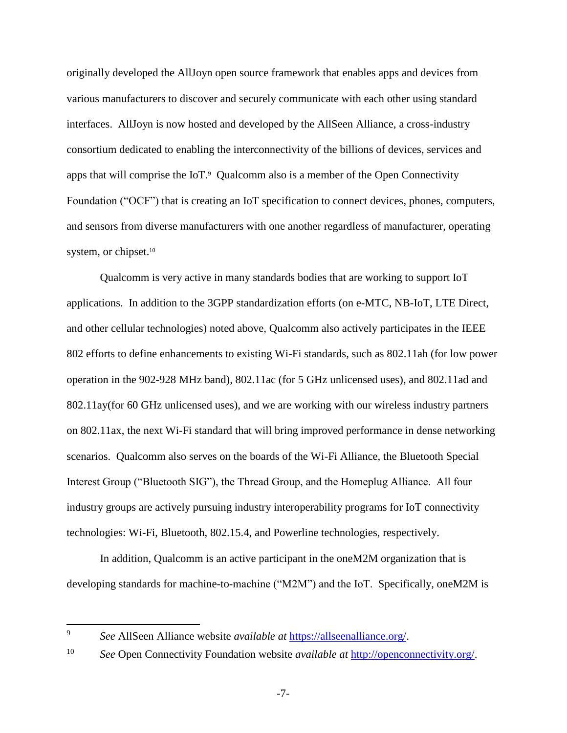originally developed the AllJoyn open source framework that enables apps and devices from various manufacturers to discover and securely communicate with each other using standard interfaces. AllJoyn is now hosted and developed by the AllSeen Alliance, a cross-industry consortium dedicated to enabling the interconnectivity of the billions of devices, services and apps that will comprise the  $I\circ I$ . Qualcomm also is a member of the Open Connectivity Foundation ("OCF") that is creating an IoT specification to connect devices, phones, computers, and sensors from diverse manufacturers with one another regardless of manufacturer, operating system, or chipset.<sup>10</sup>

Qualcomm is very active in many standards bodies that are working to support IoT applications. In addition to the 3GPP standardization efforts (on e-MTC, NB-IoT, LTE Direct, and other cellular technologies) noted above, Qualcomm also actively participates in the IEEE 802 efforts to define enhancements to existing Wi-Fi standards, such as 802.11ah (for low power operation in the 902-928 MHz band), 802.11ac (for 5 GHz unlicensed uses), and 802.11ad and 802.11ay(for 60 GHz unlicensed uses), and we are working with our wireless industry partners on 802.11ax, the next Wi-Fi standard that will bring improved performance in dense networking scenarios. Qualcomm also serves on the boards of the Wi-Fi Alliance, the Bluetooth Special Interest Group ("Bluetooth SIG"), the Thread Group, and the Homeplug Alliance. All four industry groups are actively pursuing industry interoperability programs for IoT connectivity technologies: Wi-Fi, Bluetooth, 802.15.4, and Powerline technologies, respectively.

In addition, Qualcomm is an active participant in the oneM2M organization that is developing standards for machine-to-machine ("M2M") and the IoT. Specifically, oneM2M is

<sup>9</sup> *See* AllSeen Alliance website *available at* [https://allseenalliance.org/.](https://allseenalliance.org/)

<sup>10</sup> *See* Open Connectivity Foundation website *available at* [http://openconnectivity.org/.](http://openconnectivity.org/)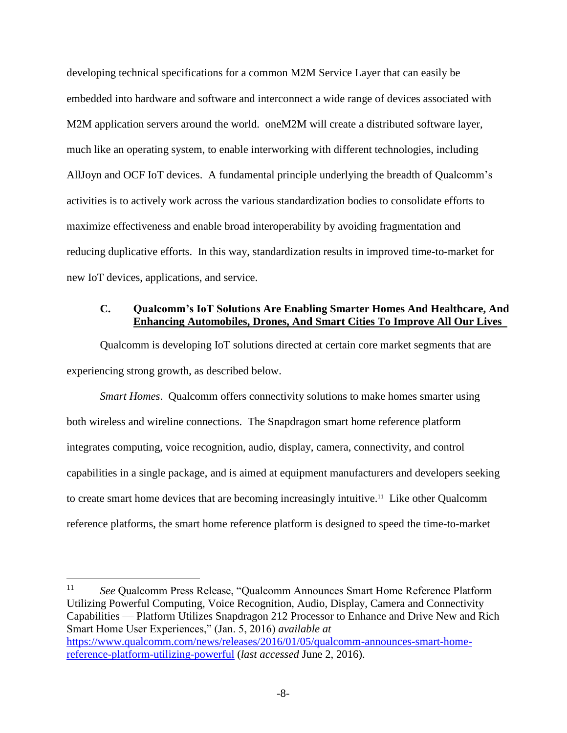developing technical specifications for a common M2M Service Layer that can easily be embedded into hardware and software and interconnect a wide range of devices associated with M2M application servers around the world. oneM2M will create a distributed software layer, much like an operating system, to enable interworking with different technologies, including AllJoyn and OCF IoT devices. A fundamental principle underlying the breadth of Qualcomm's activities is to actively work across the various standardization bodies to consolidate efforts to maximize effectiveness and enable broad interoperability by avoiding fragmentation and reducing duplicative efforts. In this way, standardization results in improved time-to-market for new IoT devices, applications, and service.

## <span id="page-12-0"></span>**C. Qualcomm's IoT Solutions Are Enabling Smarter Homes And Healthcare, And Enhancing Automobiles, Drones, And Smart Cities To Improve All Our Lives**

Qualcomm is developing IoT solutions directed at certain core market segments that are experiencing strong growth, as described below.

*Smart Homes*. Qualcomm offers connectivity solutions to make homes smarter using both wireless and wireline connections. The Snapdragon smart home reference platform integrates computing, voice recognition, audio, display, camera, connectivity, and control capabilities in a single package, and is aimed at equipment manufacturers and developers seeking to create smart home devices that are becoming increasingly intuitive.<sup>11</sup> Like other Qualcomm reference platforms, the smart home reference platform is designed to speed the time-to-market

<sup>11</sup> *See* Qualcomm Press Release, "Qualcomm Announces Smart Home Reference Platform Utilizing Powerful Computing, Voice Recognition, Audio, Display, Camera and Connectivity Capabilities — Platform Utilizes Snapdragon 212 Processor to Enhance and Drive New and Rich Smart Home User Experiences," (Jan. 5, 2016) *available at*  [https://www.qualcomm.com/news/releases/2016/01/05/qualcomm-announces-smart-home](https://www.qualcomm.com/news/releases/2016/01/05/qualcomm-announces-smart-home-reference-platform-utilizing-powerful)[reference-platform-utilizing-powerful](https://www.qualcomm.com/news/releases/2016/01/05/qualcomm-announces-smart-home-reference-platform-utilizing-powerful) (*last accessed* June 2, 2016).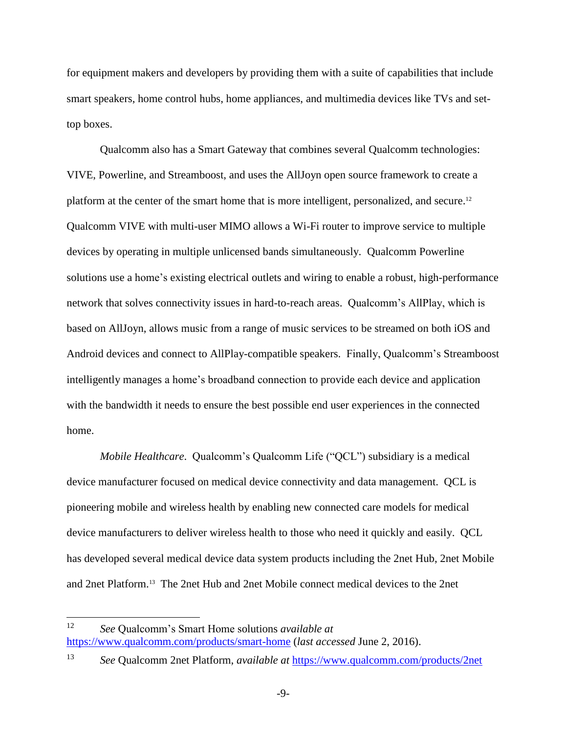for equipment makers and developers by providing them with a suite of capabilities that include smart speakers, home control hubs, home appliances, and multimedia devices like TVs and settop boxes.

Qualcomm also has a Smart Gateway that combines several Qualcomm technologies: VIVE, Powerline, and Streamboost, and uses the AllJoyn open source framework to create a platform at the center of the smart home that is more intelligent, personalized, and secure.<sup>12</sup> Qualcomm VIVE with multi-user MIMO allows a Wi-Fi router to improve service to multiple devices by operating in multiple unlicensed bands simultaneously. Qualcomm Powerline solutions use a home's existing electrical outlets and wiring to enable a robust, high-performance network that solves connectivity issues in hard-to-reach areas. Qualcomm's AllPlay, which is based on AllJoyn, allows music from a range of music services to be streamed on both iOS and Android devices and connect to AllPlay-compatible speakers. Finally, Qualcomm's Streamboost intelligently manages a home's broadband connection to provide each device and application with the bandwidth it needs to ensure the best possible end user experiences in the connected home.

*Mobile Healthcare*. Qualcomm's Qualcomm Life ("QCL") subsidiary is a medical device manufacturer focused on medical device connectivity and data management. QCL is pioneering mobile and wireless health by enabling new connected care models for medical device manufacturers to deliver wireless health to those who need it quickly and easily. QCL has developed several medical device data system products including the 2net Hub, 2net Mobile and 2net Platform.<sup>13</sup> The 2net Hub and 2net Mobile connect medical devices to the 2net

 $12<sup>12</sup>$ <sup>12</sup> *See* Qualcomm's Smart Home solutions *available at* <https://www.qualcomm.com/products/smart-home> (*last accessed* June 2, 2016).

<sup>13</sup> *See* Qualcomm 2net Platform, *available at* <https://www.qualcomm.com/products/2net>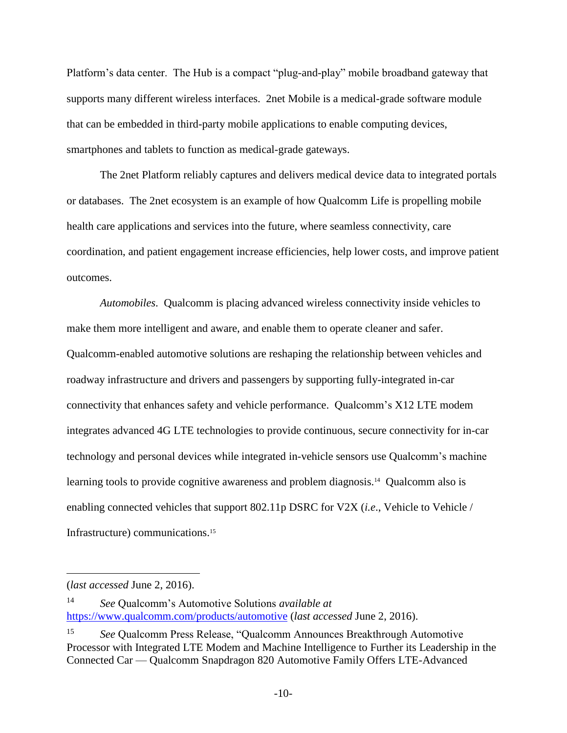Platform's data center. The Hub is a compact "plug-and-play" mobile broadband gateway that supports many different wireless interfaces. 2net Mobile is a medical-grade software module that can be embedded in third-party mobile applications to enable computing devices, smartphones and tablets to function as medical-grade gateways.

The 2net Platform reliably captures and delivers medical device data to integrated portals or databases. The 2net ecosystem is an example of how Qualcomm Life is propelling mobile health care applications and services into the future, where seamless connectivity, care coordination, and patient engagement increase efficiencies, help lower costs, and improve patient outcomes.

*Automobiles*. Qualcomm is placing advanced wireless connectivity inside vehicles to make them more intelligent and aware, and enable them to operate cleaner and safer. Qualcomm-enabled automotive solutions are reshaping the relationship between vehicles and roadway infrastructure and drivers and passengers by supporting fully-integrated in-car connectivity that enhances safety and vehicle performance. Qualcomm's X12 LTE modem integrates advanced 4G LTE technologies to provide continuous, secure connectivity for in-car technology and personal devices while integrated in-vehicle sensors use Qualcomm's machine learning tools to provide cognitive awareness and problem diagnosis.<sup>14</sup> Qualcomm also is enabling connected vehicles that support 802.11p DSRC for V2X (*i.e*., Vehicle to Vehicle / Infrastructure) communications.<sup>15</sup>

<sup>(</sup>*last accessed* June 2, 2016).

<sup>14</sup> *See* Qualcomm's Automotive Solutions *available at*  <https://www.qualcomm.com/products/automotive> (*last accessed* June 2, 2016).

<sup>15</sup> *See* Qualcomm Press Release, "Qualcomm Announces Breakthrough Automotive Processor with Integrated LTE Modem and Machine Intelligence to Further its Leadership in the Connected Car — Qualcomm Snapdragon 820 Automotive Family Offers LTE-Advanced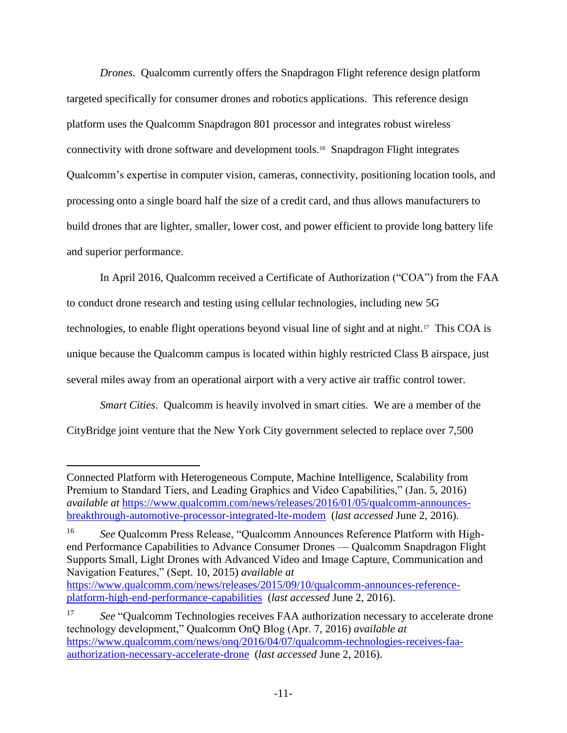*Drones*. Qualcomm currently offers the Snapdragon Flight reference design platform targeted specifically for consumer drones and robotics applications. This reference design platform uses the Qualcomm Snapdragon 801 processor and integrates robust wireless connectivity with drone software and development tools.<sup>16</sup> Snapdragon Flight integrates Qualcomm's expertise in computer vision, cameras, connectivity, positioning location tools, and processing onto a single board half the size of a credit card, and thus allows manufacturers to build drones that are lighter, smaller, lower cost, and power efficient to provide long battery life and superior performance.

In April 2016, Qualcomm received a Certificate of Authorization ("COA") from the FAA to conduct drone research and testing using cellular technologies, including new 5G technologies, to enable flight operations beyond visual line of sight and at night.<sup>17</sup> This COA is unique because the Qualcomm campus is located within highly restricted Class B airspace, just several miles away from an operational airport with a very active air traffic control tower.

*Smart Cities*. Qualcomm is heavily involved in smart cities. We are a member of the CityBridge joint venture that the New York City government selected to replace over 7,500

Connected Platform with Heterogeneous Compute, Machine Intelligence, Scalability from Premium to Standard Tiers, and Leading Graphics and Video Capabilities," (Jan. 5, 2016) *available at* [https://www.qualcomm.com/news/releases/2016/01/05/qualcomm-announces](https://www.qualcomm.com/news/releases/2016/01/05/qualcomm-announces-breakthrough-automotive-processor-integrated-lte-modem)[breakthrough-automotive-processor-integrated-lte-modem](https://www.qualcomm.com/news/releases/2016/01/05/qualcomm-announces-breakthrough-automotive-processor-integrated-lte-modem) (*last accessed* June 2, 2016).

<sup>16</sup> *See* Qualcomm Press Release, "Qualcomm Announces Reference Platform with Highend Performance Capabilities to Advance Consumer Drones — Qualcomm Snapdragon Flight Supports Small, Light Drones with Advanced Video and Image Capture, Communication and Navigation Features," (Sept. 10, 2015) *available at* [https://www.qualcomm.com/news/releases/2015/09/10/qualcomm-announces-reference-](https://www.qualcomm.com/news/releases/2015/09/10/qualcomm-announces-reference-platform-high-end-performance-capabilities)

[platform-high-end-performance-capabilities](https://www.qualcomm.com/news/releases/2015/09/10/qualcomm-announces-reference-platform-high-end-performance-capabilities) (*last accessed* June 2, 2016).

<sup>17</sup> *See* "Qualcomm Technologies receives FAA authorization necessary to accelerate drone technology development," Qualcomm OnQ Blog (Apr. 7, 2016) *available at* [https://www.qualcomm.com/news/onq/2016/04/07/qualcomm-technologies-receives-faa](https://www.qualcomm.com/news/onq/2016/04/07/qualcomm-technologies-receives-faa-authorization-necessary-accelerate-drone)[authorization-necessary-accelerate-drone](https://www.qualcomm.com/news/onq/2016/04/07/qualcomm-technologies-receives-faa-authorization-necessary-accelerate-drone) (*last accessed* June 2, 2016).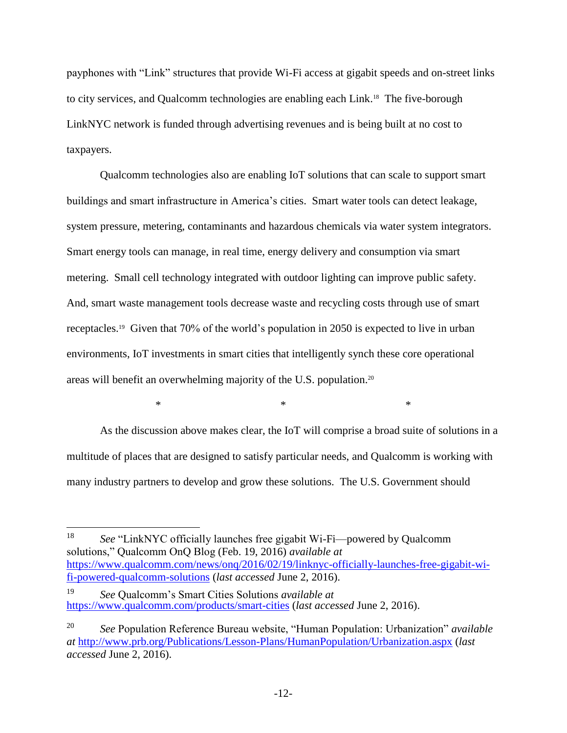payphones with "Link" structures that provide Wi-Fi access at gigabit speeds and on-street links to city services, and Qualcomm technologies are enabling each Link. 18 The five-borough LinkNYC network is funded through advertising revenues and is being built at no cost to taxpayers.

Qualcomm technologies also are enabling IoT solutions that can scale to support smart buildings and smart infrastructure in America's cities. Smart water tools can detect leakage, system pressure, metering, contaminants and hazardous chemicals via water system integrators. Smart energy tools can manage, in real time, energy delivery and consumption via smart metering. Small cell technology integrated with outdoor lighting can improve public safety. And, smart waste management tools decrease waste and recycling costs through use of smart receptacles.<sup>19</sup> Given that 70% of the world's population in 2050 is expected to live in urban environments, IoT investments in smart cities that intelligently synch these core operational areas will benefit an overwhelming majority of the U.S. population. 20

As the discussion above makes clear, the IoT will comprise a broad suite of solutions in a multitude of places that are designed to satisfy particular needs, and Qualcomm is working with many industry partners to develop and grow these solutions. The U.S. Government should

 $*$   $*$ 

<sup>18</sup> *See* "LinkNYC officially launches free gigabit Wi-Fi—powered by Qualcomm solutions," Qualcomm OnQ Blog (Feb. 19, 2016) *available at* [https://www.qualcomm.com/news/onq/2016/02/19/linknyc-officially-launches-free-gigabit-wi](https://www.qualcomm.com/news/onq/2016/02/19/linknyc-officially-launches-free-gigabit-wi-fi-powered-qualcomm-solutions)[fi-powered-qualcomm-solutions](https://www.qualcomm.com/news/onq/2016/02/19/linknyc-officially-launches-free-gigabit-wi-fi-powered-qualcomm-solutions) (*last accessed* June 2, 2016).

<sup>19</sup> *See* Qualcomm's Smart Cities Solutions *available at*  <https://www.qualcomm.com/products/smart-cities> (*last accessed* June 2, 2016).

<sup>20</sup> *See* Population Reference Bureau website, "Human Population: Urbanization" *available at* <http://www.prb.org/Publications/Lesson-Plans/HumanPopulation/Urbanization.aspx> (*last accessed* June 2, 2016).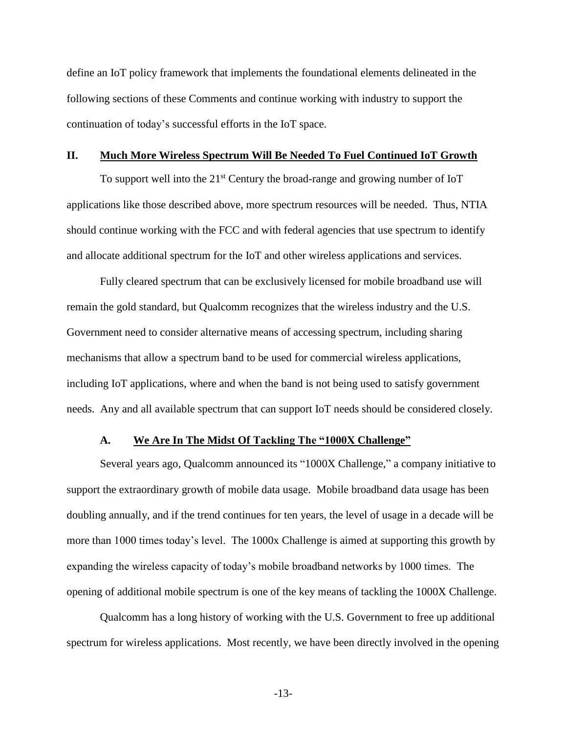define an IoT policy framework that implements the foundational elements delineated in the following sections of these Comments and continue working with industry to support the continuation of today's successful efforts in the IoT space.

#### <span id="page-17-0"></span>**II. Much More Wireless Spectrum Will Be Needed To Fuel Continued IoT Growth**

To support well into the  $21<sup>st</sup>$  Century the broad-range and growing number of IoT applications like those described above, more spectrum resources will be needed. Thus, NTIA should continue working with the FCC and with federal agencies that use spectrum to identify and allocate additional spectrum for the IoT and other wireless applications and services.

Fully cleared spectrum that can be exclusively licensed for mobile broadband use will remain the gold standard, but Qualcomm recognizes that the wireless industry and the U.S. Government need to consider alternative means of accessing spectrum, including sharing mechanisms that allow a spectrum band to be used for commercial wireless applications, including IoT applications, where and when the band is not being used to satisfy government needs. Any and all available spectrum that can support IoT needs should be considered closely.

### **A. We Are In The Midst Of Tackling The "1000X Challenge"**

<span id="page-17-1"></span>Several years ago, Qualcomm announced its "1000X Challenge," a company initiative to support the extraordinary growth of mobile data usage. Mobile broadband data usage has been doubling annually, and if the trend continues for ten years, the level of usage in a decade will be more than 1000 times today's level. The 1000x Challenge is aimed at supporting this growth by expanding the wireless capacity of today's mobile broadband networks by 1000 times. The opening of additional mobile spectrum is one of the key means of tackling the 1000X Challenge.

Qualcomm has a long history of working with the U.S. Government to free up additional spectrum for wireless applications. Most recently, we have been directly involved in the opening

-13-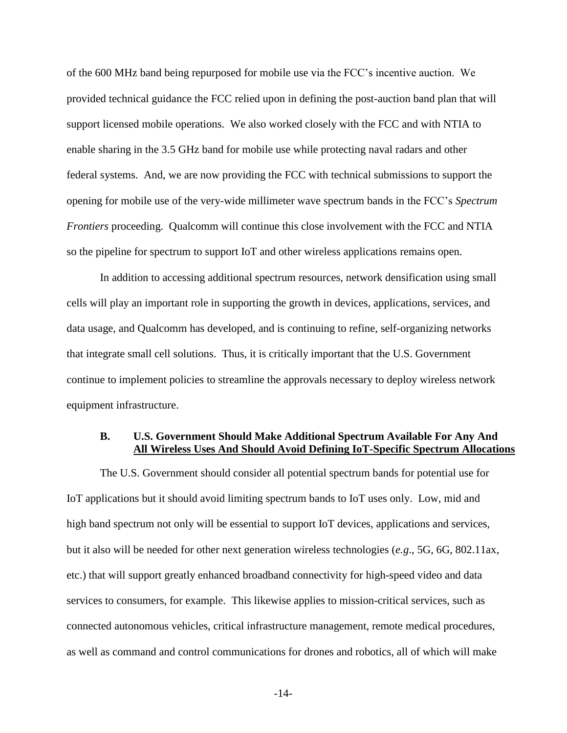of the 600 MHz band being repurposed for mobile use via the FCC's incentive auction. We provided technical guidance the FCC relied upon in defining the post-auction band plan that will support licensed mobile operations. We also worked closely with the FCC and with NTIA to enable sharing in the 3.5 GHz band for mobile use while protecting naval radars and other federal systems. And, we are now providing the FCC with technical submissions to support the opening for mobile use of the very-wide millimeter wave spectrum bands in the FCC's *Spectrum Frontiers* proceeding. Qualcomm will continue this close involvement with the FCC and NTIA so the pipeline for spectrum to support IoT and other wireless applications remains open.

In addition to accessing additional spectrum resources, network densification using small cells will play an important role in supporting the growth in devices, applications, services, and data usage, and Qualcomm has developed, and is continuing to refine, self-organizing networks that integrate small cell solutions. Thus, it is critically important that the U.S. Government continue to implement policies to streamline the approvals necessary to deploy wireless network equipment infrastructure.

### <span id="page-18-0"></span>**B. U.S. Government Should Make Additional Spectrum Available For Any And All Wireless Uses And Should Avoid Defining IoT-Specific Spectrum Allocations**

The U.S. Government should consider all potential spectrum bands for potential use for IoT applications but it should avoid limiting spectrum bands to IoT uses only. Low, mid and high band spectrum not only will be essential to support IoT devices, applications and services, but it also will be needed for other next generation wireless technologies (*e.g*., 5G, 6G, 802.11ax, etc.) that will support greatly enhanced broadband connectivity for high-speed video and data services to consumers, for example. This likewise applies to mission-critical services, such as connected autonomous vehicles, critical infrastructure management, remote medical procedures, as well as command and control communications for drones and robotics, all of which will make

-14-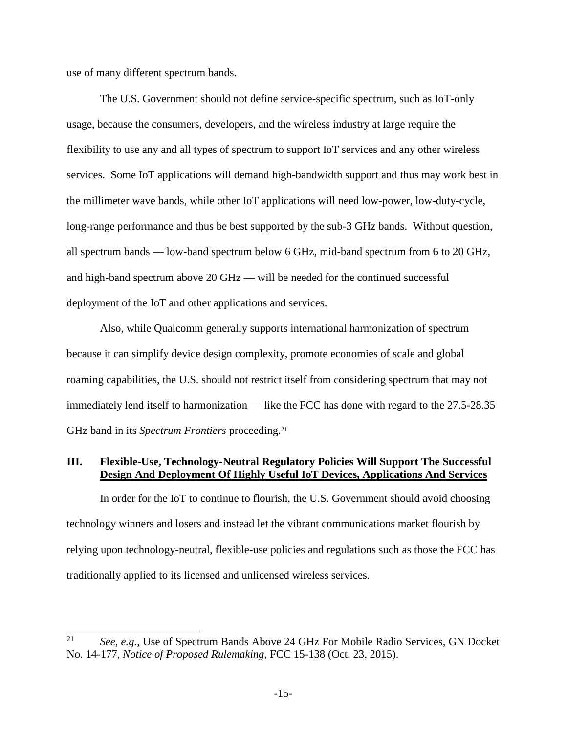use of many different spectrum bands.

 $\overline{a}$ 

The U.S. Government should not define service-specific spectrum, such as IoT-only usage, because the consumers, developers, and the wireless industry at large require the flexibility to use any and all types of spectrum to support IoT services and any other wireless services. Some IoT applications will demand high-bandwidth support and thus may work best in the millimeter wave bands, while other IoT applications will need low-power, low-duty-cycle, long-range performance and thus be best supported by the sub-3 GHz bands. Without question, all spectrum bands — low-band spectrum below 6 GHz, mid-band spectrum from 6 to 20 GHz, and high-band spectrum above 20 GHz — will be needed for the continued successful deployment of the IoT and other applications and services.

Also, while Qualcomm generally supports international harmonization of spectrum because it can simplify device design complexity, promote economies of scale and global roaming capabilities, the U.S. should not restrict itself from considering spectrum that may not immediately lend itself to harmonization — like the FCC has done with regard to the 27.5-28.35 GHz band in its *Spectrum Frontiers* proceeding.<sup>21</sup>

### <span id="page-19-0"></span>**III. Flexible-Use, Technology-Neutral Regulatory Policies Will Support The Successful Design And Deployment Of Highly Useful IoT Devices, Applications And Services**

In order for the IoT to continue to flourish, the U.S. Government should avoid choosing technology winners and losers and instead let the vibrant communications market flourish by relying upon technology-neutral, flexible-use policies and regulations such as those the FCC has traditionally applied to its licensed and unlicensed wireless services.

<sup>21</sup> *See, e.g.,* Use of Spectrum Bands Above 24 GHz For Mobile Radio Services, GN Docket No. 14-177, *Notice of Proposed Rulemaking*, FCC 15-138 (Oct. 23, 2015).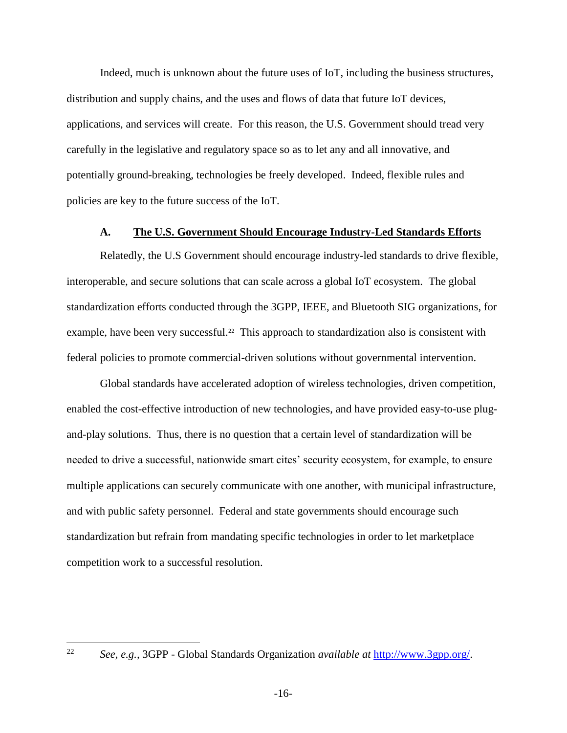Indeed, much is unknown about the future uses of IoT, including the business structures, distribution and supply chains, and the uses and flows of data that future IoT devices, applications, and services will create. For this reason, the U.S. Government should tread very carefully in the legislative and regulatory space so as to let any and all innovative, and potentially ground-breaking, technologies be freely developed. Indeed, flexible rules and policies are key to the future success of the IoT.

#### **A. The U.S. Government Should Encourage Industry-Led Standards Efforts**

<span id="page-20-0"></span>Relatedly, the U.S Government should encourage industry-led standards to drive flexible, interoperable, and secure solutions that can scale across a global IoT ecosystem. The global standardization efforts conducted through the 3GPP, IEEE, and Bluetooth SIG organizations, for example, have been very successful.<sup>22</sup> This approach to standardization also is consistent with federal policies to promote commercial-driven solutions without governmental intervention.

Global standards have accelerated adoption of wireless technologies, driven competition, enabled the cost-effective introduction of new technologies, and have provided easy-to-use plugand-play solutions. Thus, there is no question that a certain level of standardization will be needed to drive a successful, nationwide smart cites' security ecosystem, for example, to ensure multiple applications can securely communicate with one another, with municipal infrastructure, and with public safety personnel. Federal and state governments should encourage such standardization but refrain from mandating specific technologies in order to let marketplace competition work to a successful resolution.

22

<sup>22</sup> *See, e.g.,* 3GPP - Global Standards Organization *available at* [http://www.3gpp.org/.](http://www.3gpp.org/)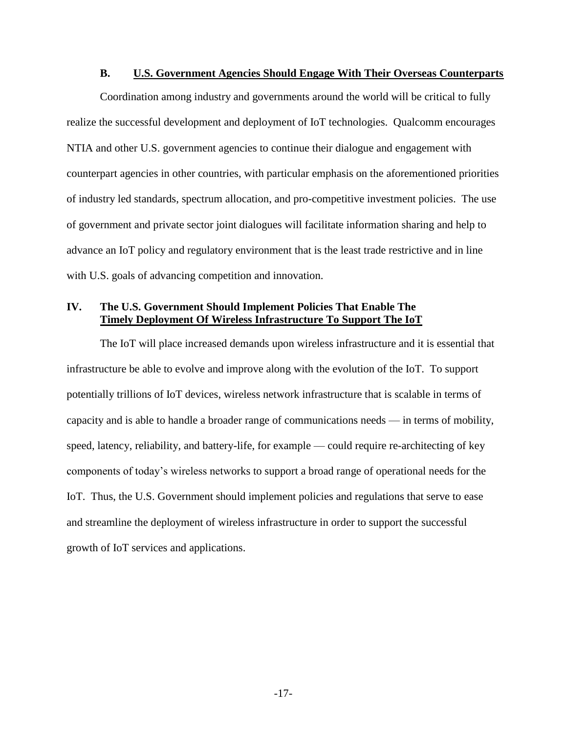### **B. U.S. Government Agencies Should Engage With Their Overseas Counterparts**

<span id="page-21-0"></span>Coordination among industry and governments around the world will be critical to fully realize the successful development and deployment of IoT technologies. Qualcomm encourages NTIA and other U.S. government agencies to continue their dialogue and engagement with counterpart agencies in other countries, with particular emphasis on the aforementioned priorities of industry led standards, spectrum allocation, and pro-competitive investment policies. The use of government and private sector joint dialogues will facilitate information sharing and help to advance an IoT policy and regulatory environment that is the least trade restrictive and in line with U.S. goals of advancing competition and innovation.

# <span id="page-21-1"></span>**IV. The U.S. Government Should Implement Policies That Enable The Timely Deployment Of Wireless Infrastructure To Support The IoT**

The IoT will place increased demands upon wireless infrastructure and it is essential that infrastructure be able to evolve and improve along with the evolution of the IoT. To support potentially trillions of IoT devices, wireless network infrastructure that is scalable in terms of capacity and is able to handle a broader range of communications needs — in terms of mobility, speed, latency, reliability, and battery-life, for example — could require re-architecting of key components of today's wireless networks to support a broad range of operational needs for the IoT. Thus, the U.S. Government should implement policies and regulations that serve to ease and streamline the deployment of wireless infrastructure in order to support the successful growth of IoT services and applications.